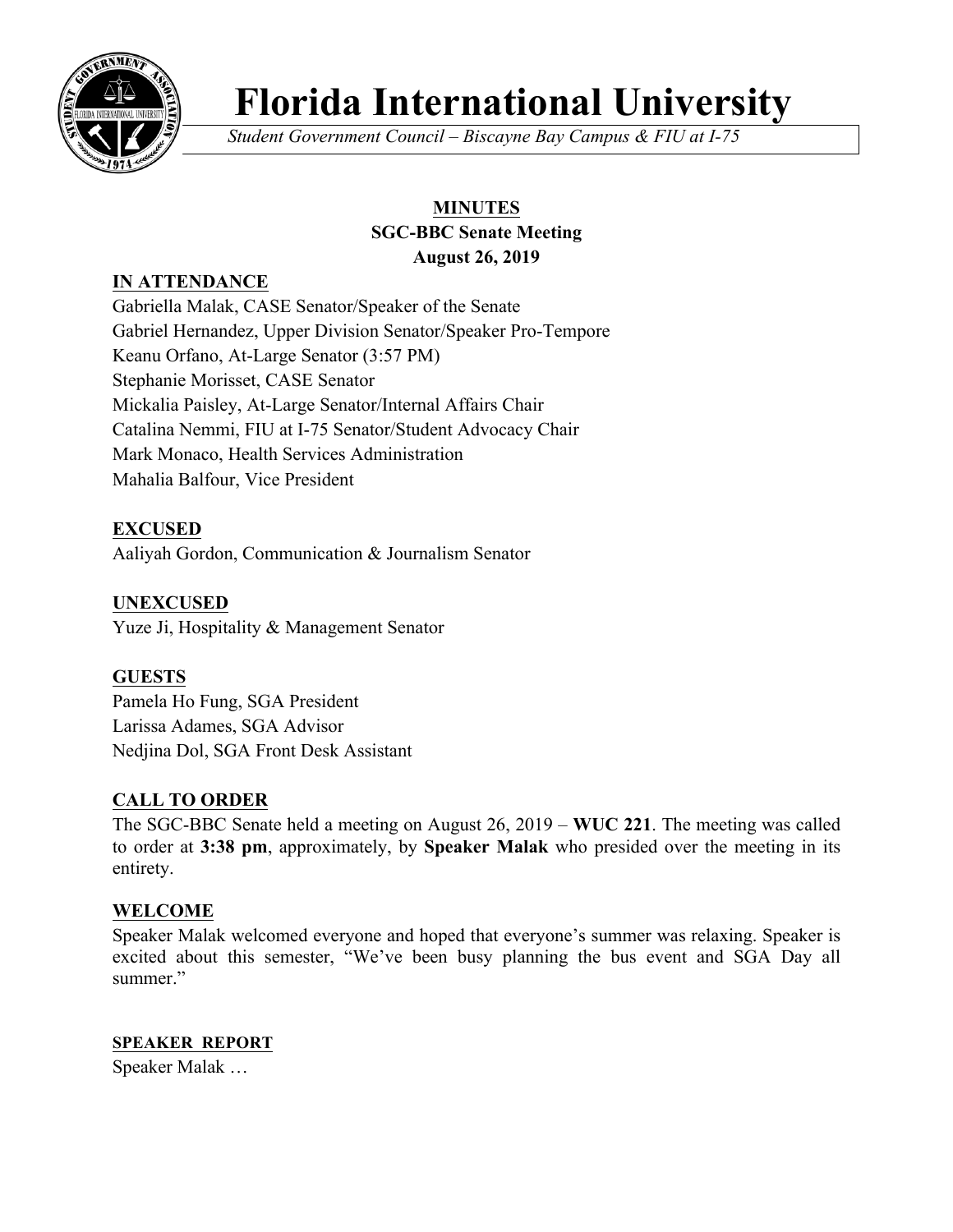

# **Florida International University**

*Student Government Council – Biscayne Bay Campus & FIU at I-75*

# **MINUTES SGC-BBC Senate Meeting**

**August 26, 2019** 

# **IN ATTENDANCE**

Gabriella Malak, CASE Senator/Speaker of the Senate Gabriel Hernandez, Upper Division Senator/Speaker Pro-Tempore Keanu Orfano, At-Large Senator (3:57 PM) Stephanie Morisset, CASE Senator Mickalia Paisley, At-Large Senator/Internal Affairs Chair Catalina Nemmi, FIU at I-75 Senator/Student Advocacy Chair Mark Monaco, Health Services Administration Mahalia Balfour, Vice President

# **EXCUSED**

Aaliyah Gordon, Communication & Journalism Senator

## **UNEXCUSED**

Yuze Ji, Hospitality & Management Senator

## **GUESTS**

Pamela Ho Fung, SGA President Larissa Adames, SGA Advisor Nedjina Dol, SGA Front Desk Assistant

## **CALL TO ORDER**

The SGC-BBC Senate held a meeting on August 26, 2019 – **WUC 221**. The meeting was called to order at **3:38 pm**, approximately, by **Speaker Malak** who presided over the meeting in its entirety.

## **WELCOME**

Speaker Malak welcomed everyone and hoped that everyone's summer was relaxing. Speaker is excited about this semester, "We've been busy planning the bus event and SGA Day all summer."

**SPEAKER REPORT** Speaker Malak …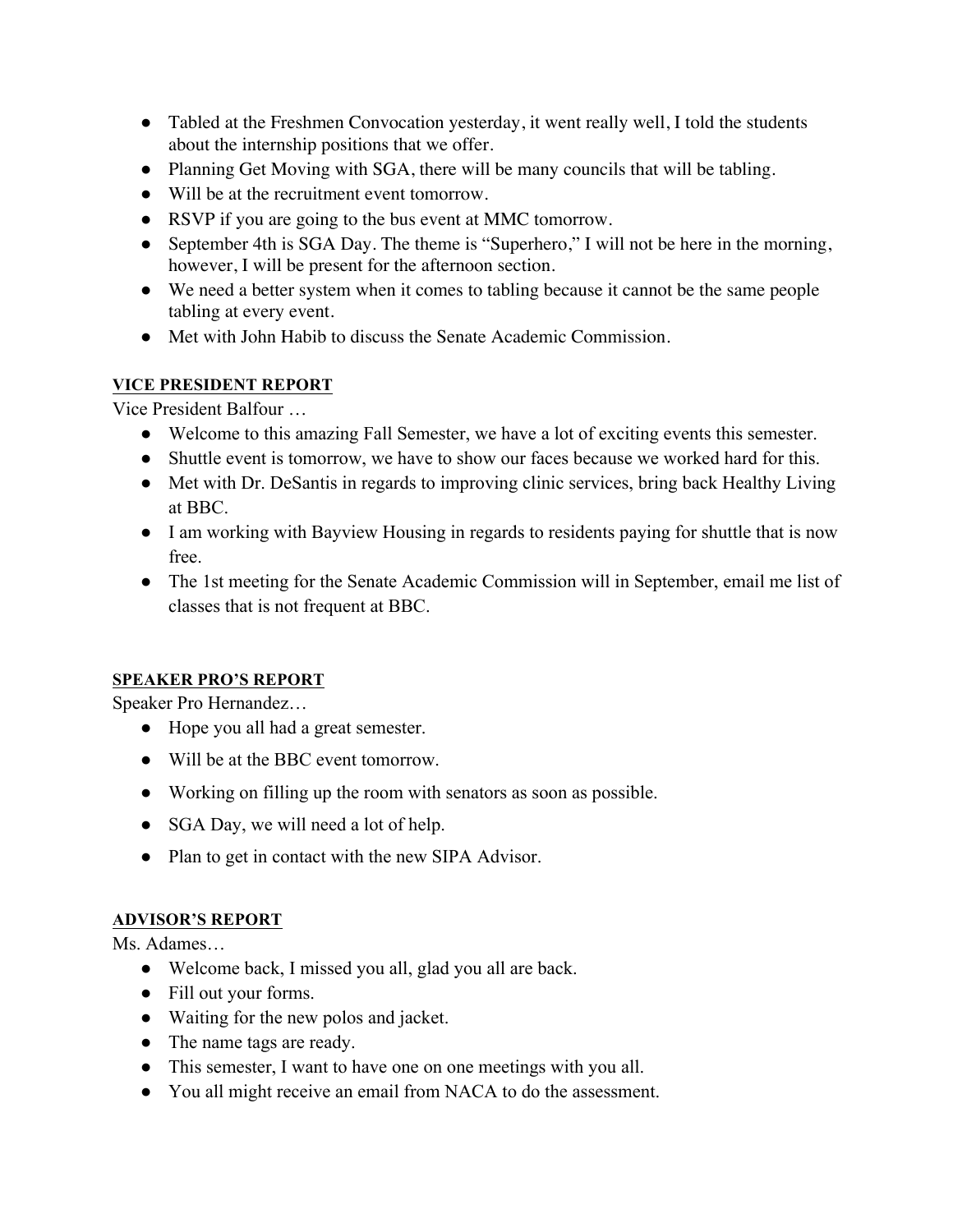- Tabled at the Freshmen Convocation yesterday, it went really well, I told the students about the internship positions that we offer.
- Planning Get Moving with SGA, there will be many councils that will be tabling.
- Will be at the recruitment event tomorrow.
- RSVP if you are going to the bus event at MMC tomorrow.
- September 4th is SGA Day. The theme is "Superhero," I will not be here in the morning, however, I will be present for the afternoon section.
- We need a better system when it comes to tabling because it cannot be the same people tabling at every event.
- Met with John Habib to discuss the Senate Academic Commission.

## **VICE PRESIDENT REPORT**

Vice President Balfour …

- Welcome to this amazing Fall Semester, we have a lot of exciting events this semester.
- Shuttle event is tomorrow, we have to show our faces because we worked hard for this.
- Met with Dr. DeSantis in regards to improving clinic services, bring back Healthy Living at BBC.
- I am working with Bayview Housing in regards to residents paying for shuttle that is now free.
- The 1st meeting for the Senate Academic Commission will in September, email me list of classes that is not frequent at BBC.

## **SPEAKER PRO'S REPORT**

Speaker Pro Hernandez…

- Hope you all had a great semester.
- Will be at the BBC event tomorrow.
- Working on filling up the room with senators as soon as possible.
- SGA Day, we will need a lot of help.
- Plan to get in contact with the new SIPA Advisor.

## **ADVISOR'S REPORT**

Ms. Adames…

- Welcome back, I missed you all, glad you all are back.
- Fill out your forms.
- Waiting for the new polos and jacket.
- The name tags are ready.
- This semester, I want to have one on one meetings with you all.
- You all might receive an email from NACA to do the assessment.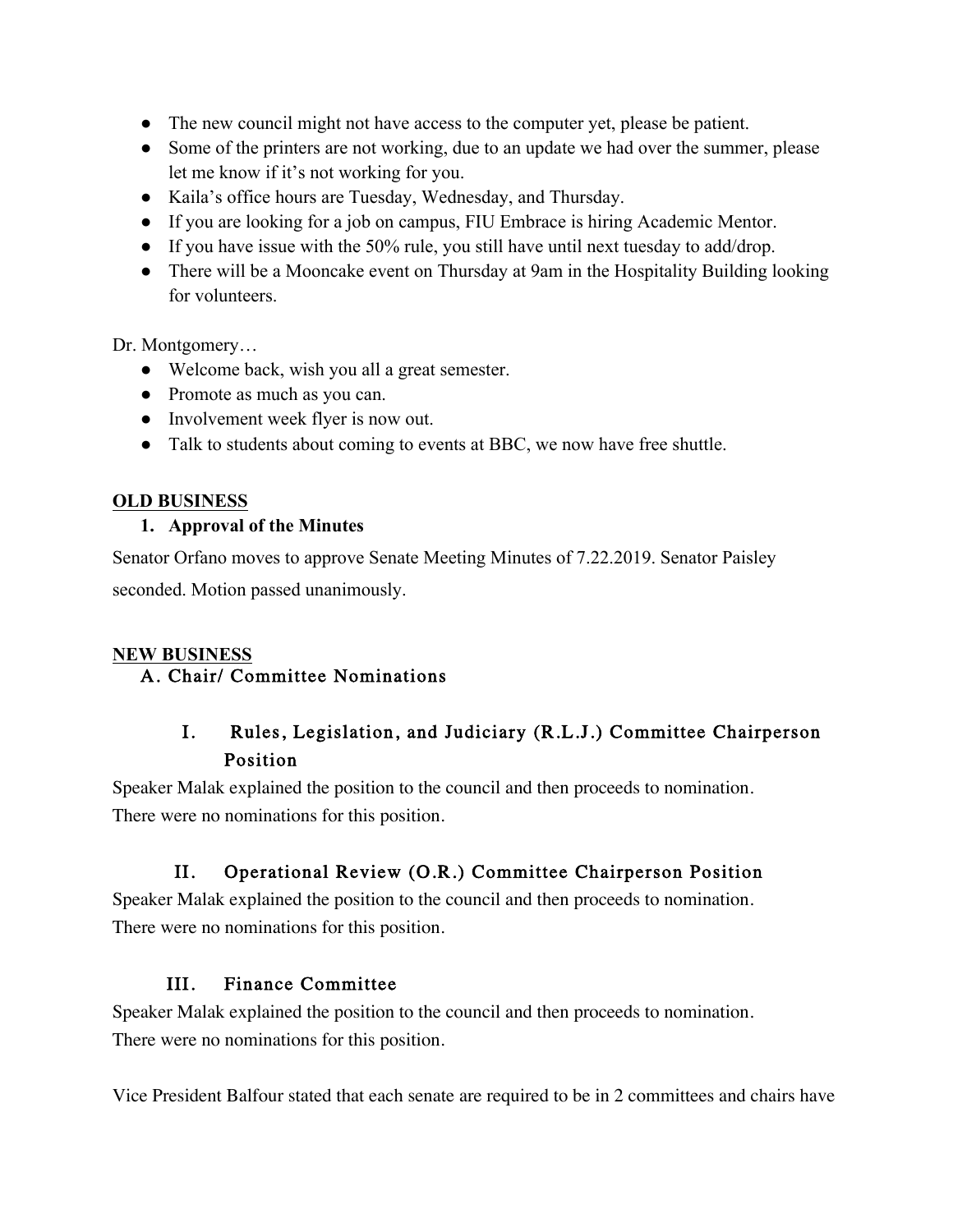- The new council might not have access to the computer yet, please be patient.
- Some of the printers are not working, due to an update we had over the summer, please let me know if it's not working for you.
- Kaila's office hours are Tuesday, Wednesday, and Thursday.
- If you are looking for a job on campus, FIU Embrace is hiring Academic Mentor.
- If you have issue with the 50% rule, you still have until next tuesday to add/drop.
- There will be a Mooncake event on Thursday at 9am in the Hospitality Building looking for volunteers.

Dr. Montgomery…

- Welcome back, wish you all a great semester.
- Promote as much as you can.
- Involvement week flyer is now out.
- Talk to students about coming to events at BBC, we now have free shuttle.

## **OLD BUSINESS**

## **1. Approval of the Minutes**

Senator Orfano moves to approve Senate Meeting Minutes of 7.22.2019. Senator Paisley seconded. Motion passed unanimously.

## **NEW BUSINESS**

# A. Chair/ Committee Nominations

# I. Rules, Legislation, and Judiciary (R.L.J.) Committee Chairperson Position

Speaker Malak explained the position to the council and then proceeds to nomination. There were no nominations for this position.

# II. Operational Review (O.R.) Committee Chairperson Position

Speaker Malak explained the position to the council and then proceeds to nomination. There were no nominations for this position.

# III. Finance Committee

Speaker Malak explained the position to the council and then proceeds to nomination. There were no nominations for this position.

Vice President Balfour stated that each senate are required to be in 2 committees and chairs have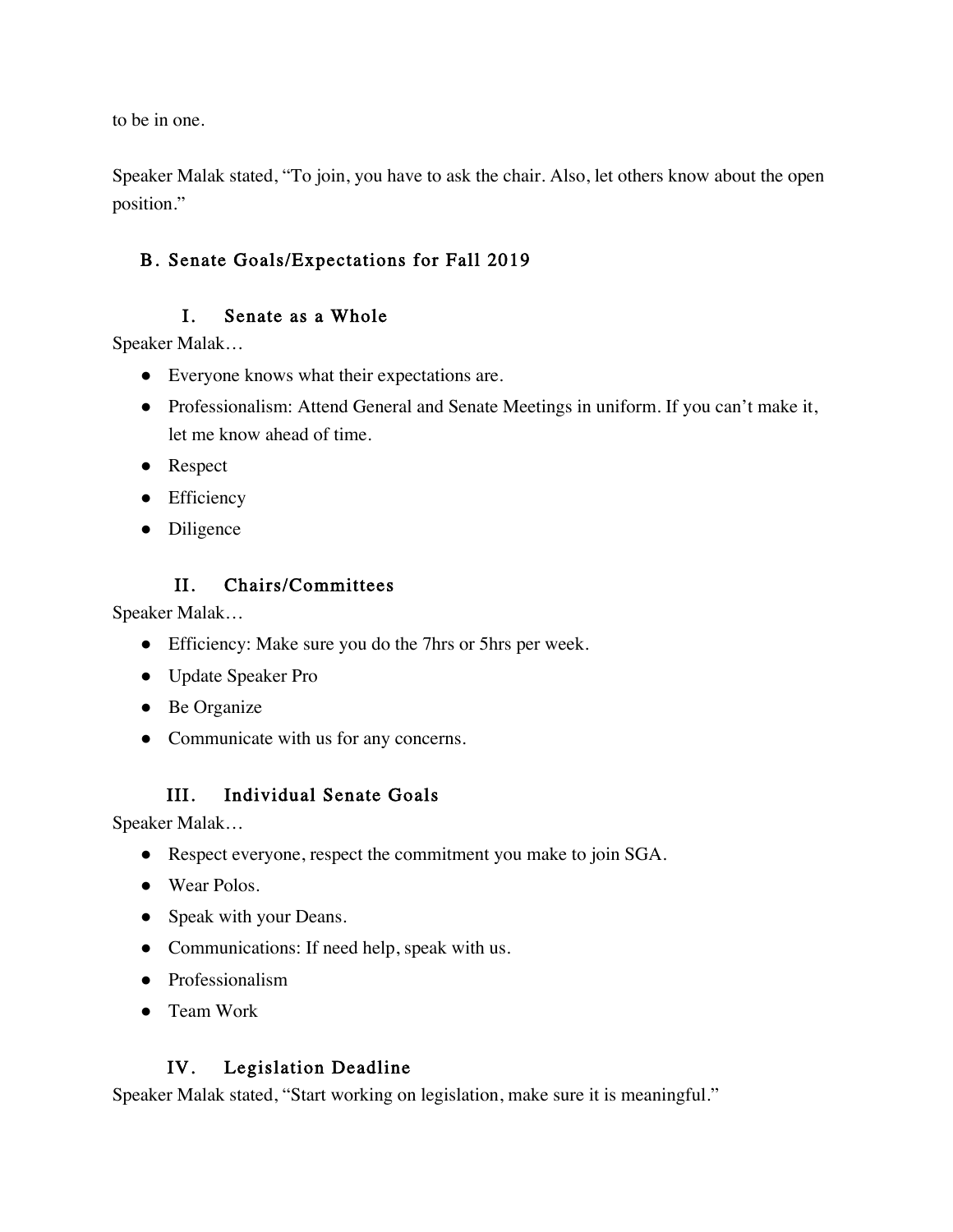to be in one.

Speaker Malak stated, "To join, you have to ask the chair. Also, let others know about the open position."

# B. Senate Goals/Expectations for Fall 2019

## I. Senate as a Whole

Speaker Malak…

- Everyone knows what their expectations are.
- Professionalism: Attend General and Senate Meetings in uniform. If you can't make it, let me know ahead of time.
- Respect
- Efficiency
- Diligence

## II. Chairs/Committees

Speaker Malak…

- Efficiency: Make sure you do the 7hrs or 5hrs per week.
- Update Speaker Pro
- Be Organize
- Communicate with us for any concerns.

# III. Individual Senate Goals

Speaker Malak…

- Respect everyone, respect the commitment you make to join SGA.
- Wear Polos.
- Speak with your Deans.
- Communications: If need help, speak with us.
- Professionalism
- Team Work

## IV. Legislation Deadline

Speaker Malak stated, "Start working on legislation, make sure it is meaningful."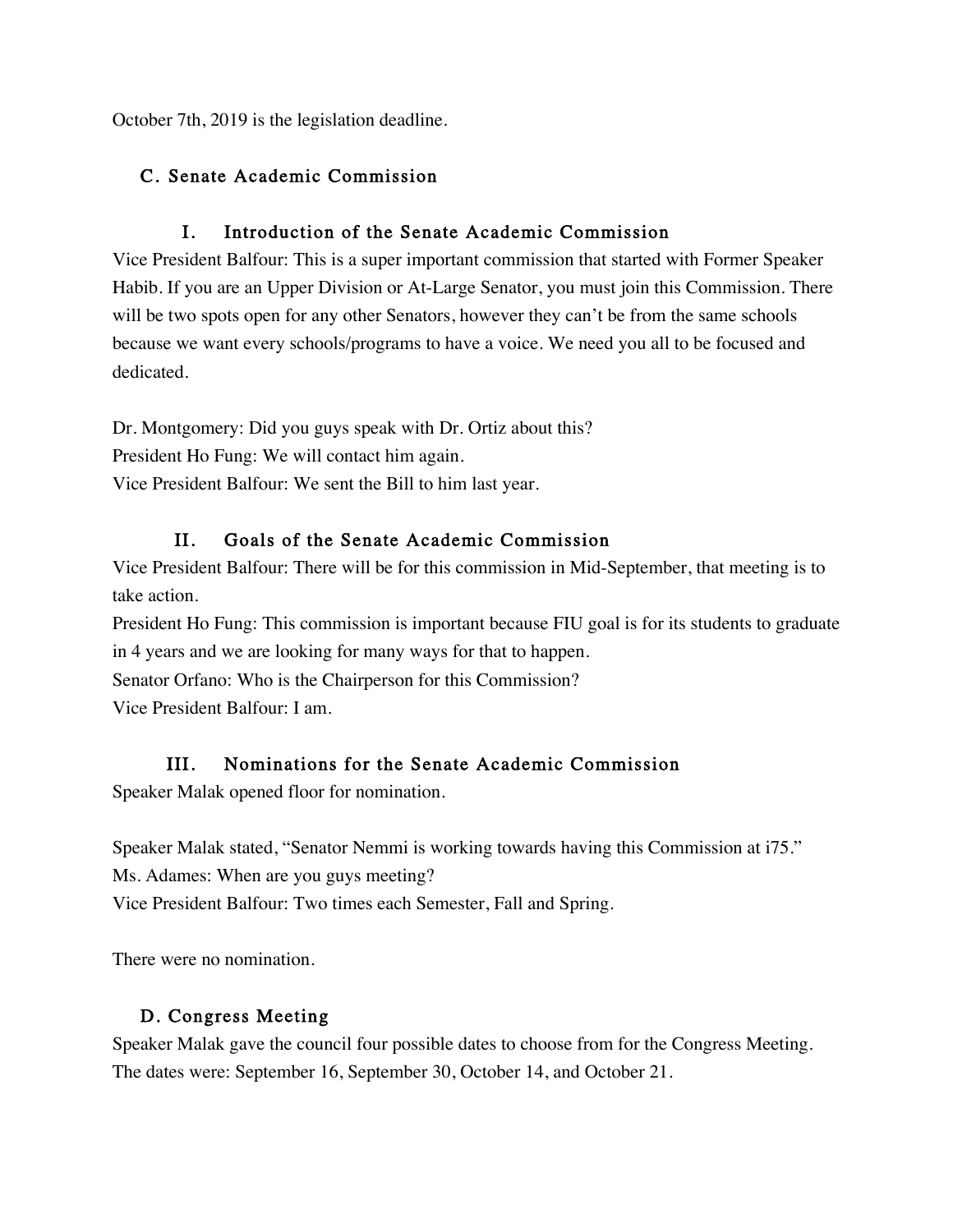October 7th, 2019 is the legislation deadline.

## C. Senate Academic Commission

## I. Introduction of the Senate Academic Commission

Vice President Balfour: This is a super important commission that started with Former Speaker Habib. If you are an Upper Division or At-Large Senator, you must join this Commission. There will be two spots open for any other Senators, however they can't be from the same schools because we want every schools/programs to have a voice. We need you all to be focused and dedicated.

Dr. Montgomery: Did you guys speak with Dr. Ortiz about this? President Ho Fung: We will contact him again. Vice President Balfour: We sent the Bill to him last year.

## II. Goals of the Senate Academic Commission

Vice President Balfour: There will be for this commission in Mid-September, that meeting is to take action.

President Ho Fung: This commission is important because FIU goal is for its students to graduate in 4 years and we are looking for many ways for that to happen. Senator Orfano: Who is the Chairperson for this Commission? Vice President Balfour: I am.

# III. Nominations for the Senate Academic Commission

Speaker Malak opened floor for nomination.

Speaker Malak stated, "Senator Nemmi is working towards having this Commission at i75." Ms. Adames: When are you guys meeting? Vice President Balfour: Two times each Semester, Fall and Spring.

There were no nomination.

## D. Congress Meeting

Speaker Malak gave the council four possible dates to choose from for the Congress Meeting. The dates were: September 16, September 30, October 14, and October 21.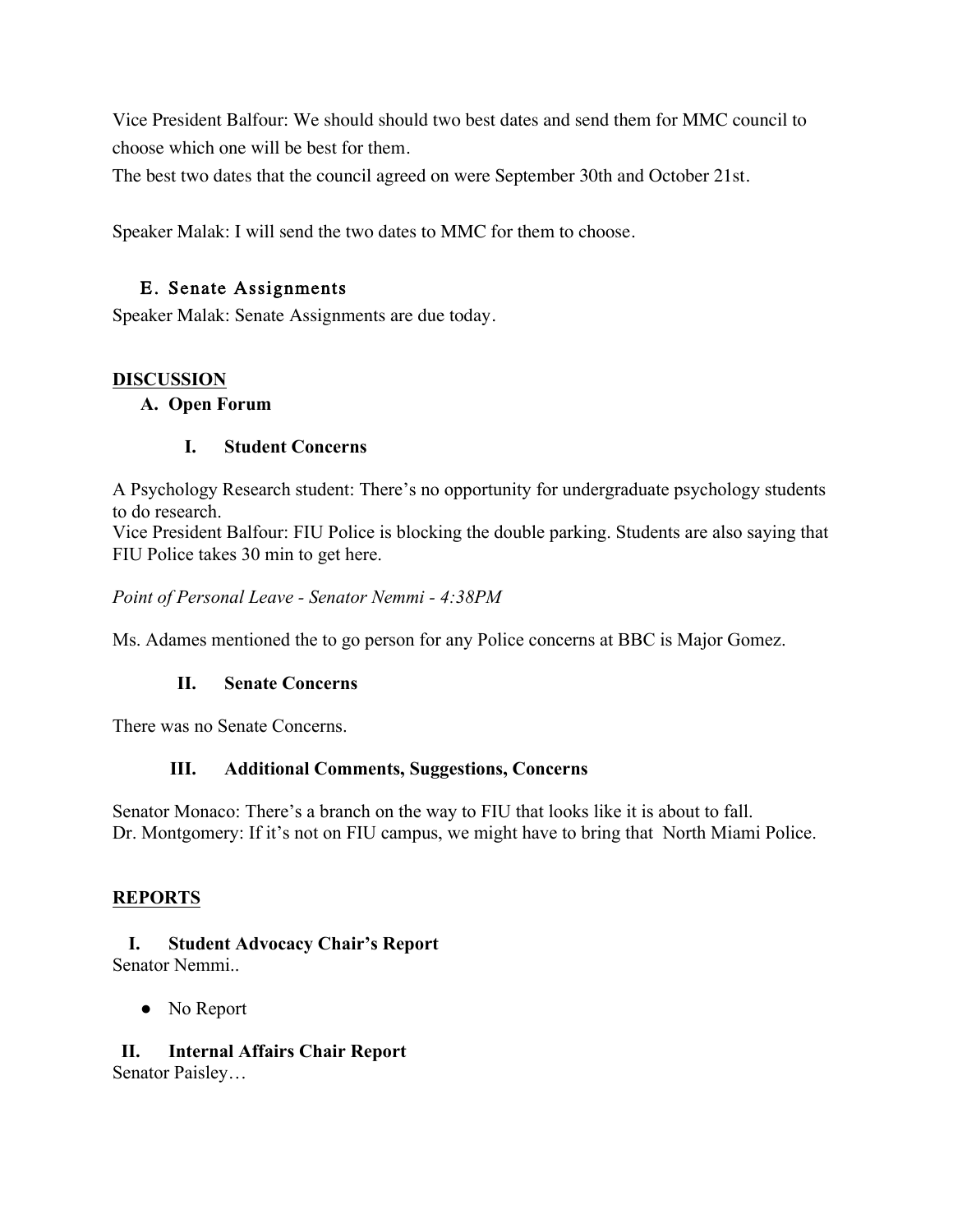Vice President Balfour: We should should two best dates and send them for MMC council to choose which one will be best for them.

The best two dates that the council agreed on were September 30th and October 21st.

Speaker Malak: I will send the two dates to MMC for them to choose.

#### E. Senate Assignments

Speaker Malak: Senate Assignments are due today.

#### **DISCUSSION**

#### **A. Open Forum**

#### **I. Student Concerns**

A Psychology Research student: There's no opportunity for undergraduate psychology students to do research.

Vice President Balfour: FIU Police is blocking the double parking. Students are also saying that FIU Police takes 30 min to get here.

*Point of Personal Leave - Senator Nemmi - 4:38PM*

Ms. Adames mentioned the to go person for any Police concerns at BBC is Major Gomez.

#### **II. Senate Concerns**

There was no Senate Concerns.

#### **III. Additional Comments, Suggestions, Concerns**

Senator Monaco: There's a branch on the way to FIU that looks like it is about to fall. Dr. Montgomery: If it's not on FIU campus, we might have to bring that North Miami Police.

#### **REPORTS**

#### **I. Student Advocacy Chair's Report** Senator Nemmi..

• No Report

#### **II. Internal Affairs Chair Report**

Senator Paisley…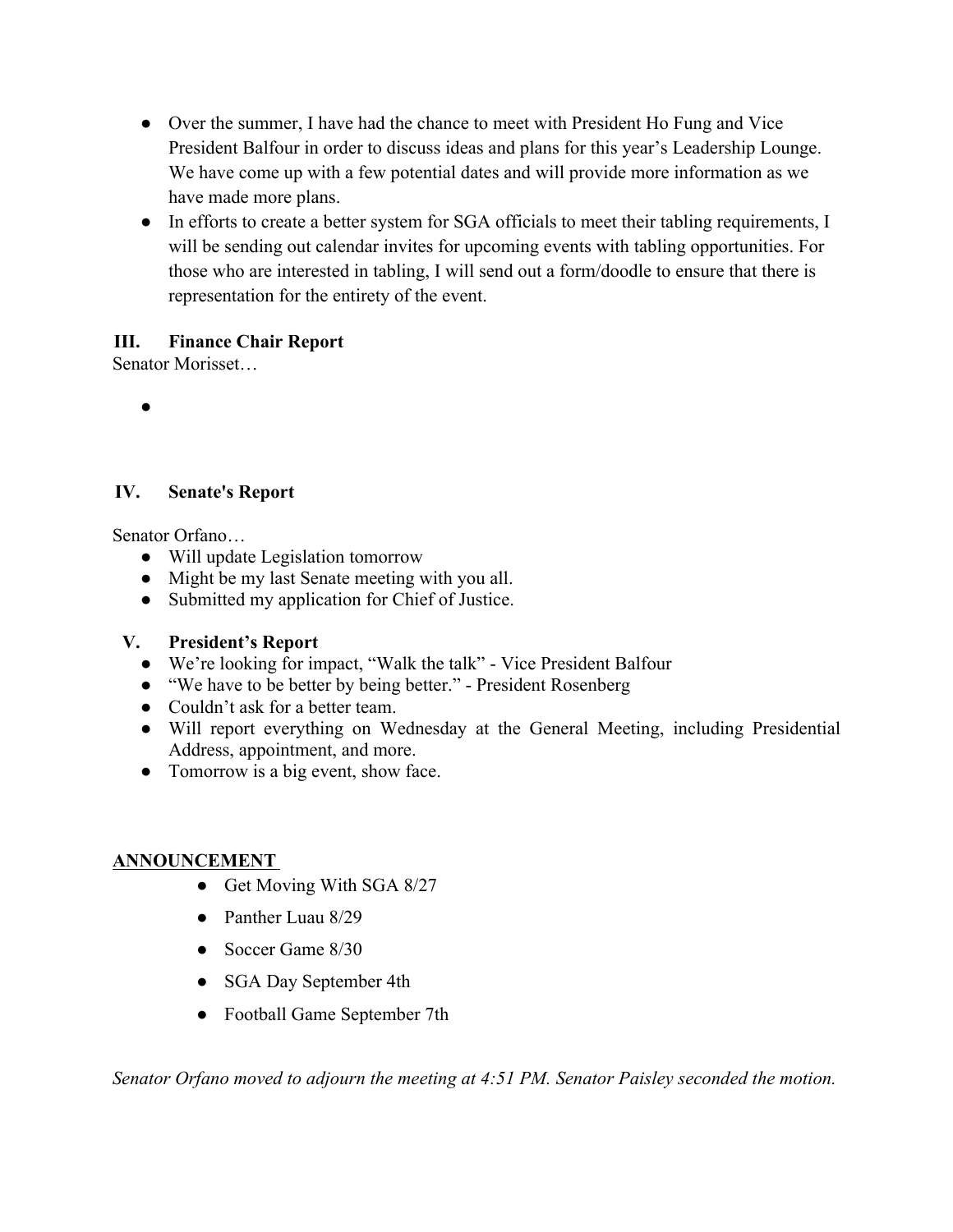- Over the summer, I have had the chance to meet with President Ho Fung and Vice President Balfour in order to discuss ideas and plans for this year's Leadership Lounge. We have come up with a few potential dates and will provide more information as we have made more plans.
- In efforts to create a better system for SGA officials to meet their tabling requirements, I will be sending out calendar invites for upcoming events with tabling opportunities. For those who are interested in tabling, I will send out a form/doodle to ensure that there is representation for the entirety of the event.

## **III. Finance Chair Report**

Senator Morisset…

●

#### **IV. Senate's Report**

Senator Orfano…

- Will update Legislation tomorrow
- Might be my last Senate meeting with you all.
- Submitted my application for Chief of Justice.

#### **V. President's Report**

- We're looking for impact, "Walk the talk" Vice President Balfour
- "We have to be better by being better." President Rosenberg
- Couldn't ask for a better team.
- Will report everything on Wednesday at the General Meeting, including Presidential Address, appointment, and more.
- Tomorrow is a big event, show face.

## **ANNOUNCEMENT**

- Get Moving With SGA 8/27
- Panther Luau 8/29
- Soccer Game 8/30
- SGA Day September 4th
- Football Game September 7th

*Senator Orfano moved to adjourn the meeting at 4:51 PM. Senator Paisley seconded the motion.*